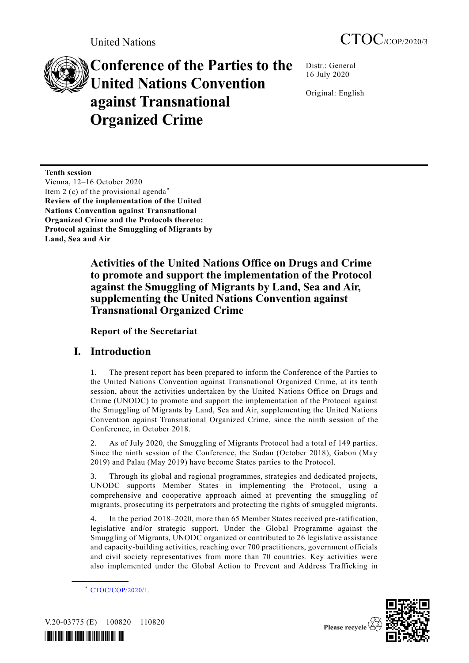# **Conference of the Parties to the United Nations Convention against Transnational Organized Crime**

Distr.: General 16 July 2020

Original: English

**Tenth session** Vienna, 12–16 October 2020 Item 2 (c) of the provisional agenda<sup>\*</sup> **Review of the implementation of the United Nations Convention against Transnational Organized Crime and the Protocols thereto: Protocol against the Smuggling of Migrants by Land, Sea and Air**

> **Activities of the United Nations Office on Drugs and Crime to promote and support the implementation of the Protocol against the Smuggling of Migrants by Land, Sea and Air, supplementing the United Nations Convention against Transnational Organized Crime**

**Report of the Secretariat**

# **I. Introduction**

1. The present report has been prepared to inform the Conference of the Parties to the United Nations Convention against Transnational Organized Crime, at its tenth session, about the activities undertaken by the United Nations Office on Drugs and Crime (UNODC) to promote and support the implementation of the Protocol against the Smuggling of Migrants by Land, Sea and Air, supplementing the United Nations Convention against Transnational Organized Crime, since the ninth session of the Conference, in October 2018.

2. As of July 2020, the Smuggling of Migrants Protocol had a total of 149 parties. Since the ninth session of the Conference, the Sudan (October 2018), Gabon (May 2019) and Palau (May 2019) have become States parties to the Protocol.

3. Through its global and regional programmes, strategies and dedicated projects, UNODC supports Member States in implementing the Protocol, using a comprehensive and cooperative approach aimed at preventing the smuggling of migrants, prosecuting its perpetrators and protecting the rights of smuggled migrants.

4. In the period 2018–2020, more than 65 Member States received pre-ratification, legislative and/or strategic support. Under the Global Programme against the Smuggling of Migrants, UNODC organized or contributed to 26 legislative assistance and capacity-building activities, reaching over 700 practitioners, government officials and civil society representatives from more than 70 countries. Key activities were also implemented under the Global Action to Prevent and Address Trafficking in



V.20-03775 (E) 100820 110820

**\_\_\_\_\_\_\_\_\_\_\_\_\_\_\_\_\_\_**



<sup>\*</sup> [CTOC/COP/2020/1.](http://undocs.org/CTOC/COP/2020/1)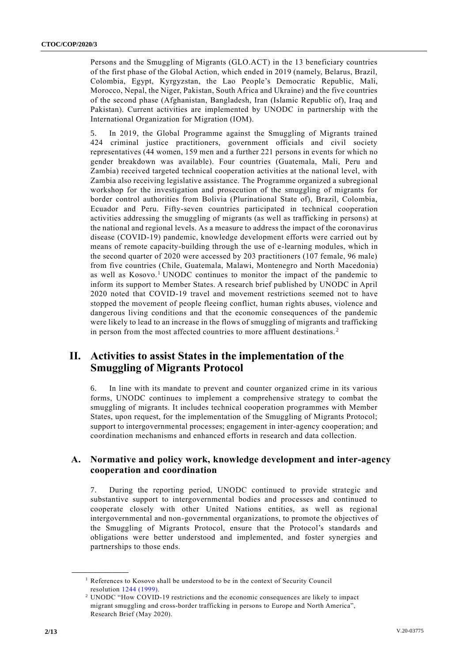Persons and the Smuggling of Migrants (GLO.ACT) in the 13 beneficiary countries of the first phase of the Global Action, which ended in 2019 (namely, Belarus, Brazil, Colombia, Egypt, Kyrgyzstan, the Lao People's Democratic Republic, Mali, Morocco, Nepal, the Niger, Pakistan, South Africa and Ukraine) and the five countries of the second phase (Afghanistan, Bangladesh, Iran (Islamic Republic of), Iraq and Pakistan). Current activities are implemented by UNODC in partnership with the International Organization for Migration (IOM).

5. In 2019, the Global Programme against the Smuggling of Migrants trained 424 criminal justice practitioners, government officials and civil society representatives (44 women, 159 men and a further 221 persons in events for which no gender breakdown was available). Four countries (Guatemala, Mali, Peru and Zambia) received targeted technical cooperation activities at the national level, with Zambia also receiving legislative assistance. The Programme organized a subregional workshop for the investigation and prosecution of the smuggling of migrants for border control authorities from Bolivia (Plurinational State of), Brazil, Colombia, Ecuador and Peru. Fifty-seven countries participated in technical cooperation activities addressing the smuggling of migrants (as well as trafficking in persons) at the national and regional levels. As a measure to address the impact of the coronavirus disease (COVID-19) pandemic, knowledge development efforts were carried out by means of remote capacity-building through the use of e-learning modules, which in the second quarter of 2020 were accessed by 203 practitioners (107 female, 96 male) from five countries (Chile, Guatemala, Malawi, Montenegro and North Macedonia) as well as Kosovo.<sup>1</sup> UNODC continues to monitor the impact of the pandemic to inform its support to Member States. A research brief published by UNODC in April 2020 noted that COVID-19 travel and movement restrictions seemed not to have stopped the movement of people fleeing conflict, human rights abuses, violence and dangerous living conditions and that the economic consequences of the pandemic were likely to lead to an increase in the flows of smuggling of migrants and trafficking in person from the most affected countries to more affluent destinations. <sup>2</sup>

# **II. Activities to assist States in the implementation of the Smuggling of Migrants Protocol**

6. In line with its mandate to prevent and counter organized crime in its various forms, UNODC continues to implement a comprehensive strategy to combat the smuggling of migrants. It includes technical cooperation programmes with Member States, upon request, for the implementation of the Smuggling of Migrants Protocol; support to intergovernmental processes; engagement in inter-agency cooperation; and coordination mechanisms and enhanced efforts in research and data collection.

### **A. Normative and policy work, knowledge development and inter-agency cooperation and coordination**

7. During the reporting period, UNODC continued to provide strategic and substantive support to intergovernmental bodies and processes and continued to cooperate closely with other United Nations entities, as well as regional intergovernmental and non-governmental organizations, to promote the objectives of the Smuggling of Migrants Protocol, ensure that the Protocol's standards and obligations were better understood and implemented, and foster synergies and partnerships to those ends.

**\_\_\_\_\_\_\_\_\_\_\_\_\_\_\_\_\_\_**

<sup>&</sup>lt;sup>1</sup> References to Kosovo shall be understood to be in the context of Security Council resolution [1244 \(1999\).](https://undocs.org/en/S/RES/1244(1999))

<sup>2</sup> UNODC "How COVID-19 restrictions and the economic consequences are likely to impact migrant smuggling and cross-border trafficking in persons to Europe and North America", Research Brief (May 2020).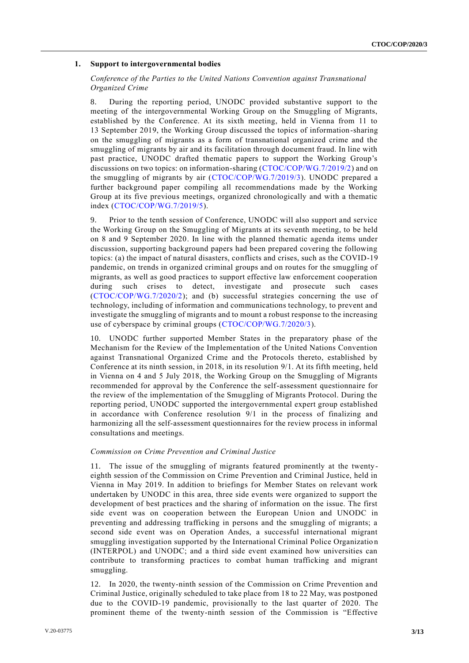#### **1. Support to intergovernmental bodies**

#### *Conference of the Parties to the United Nations Convention against Transnational Organized Crime*

8. During the reporting period, UNODC provided substantive support to the meeting of the intergovernmental Working Group on the Smuggling of Migrants, established by the Conference. At its sixth meeting, held in Vienna from 11 to 13 September 2019, the Working Group discussed the topics of information-sharing on the smuggling of migrants as a form of transnational organized crime and the smuggling of migrants by air and its facilitation through document fraud. In line with past practice, UNODC drafted thematic papers to support the Working Group's discussions on two topics: on information-sharing [\(CTOC/COP/WG.7/2019/2\)](http://undocs.org/CTOC/COP/WG.7/2019/2) and on the smuggling of migrants by air [\(CTOC/COP/WG.7/2019/3\)](http://undocs.org/CTOC/COP/WG.7/2019/3). UNODC prepared a further background paper compiling all recommendations made by the Working Group at its five previous meetings, organized chronologically and with a thematic index [\(CTOC/COP/WG.7/2019/5\)](http://undocs.org/CTOC/COP/WG.7/2019/5).

9. Prior to the tenth session of Conference, UNODC will also support and service the Working Group on the Smuggling of Migrants at its seventh meeting, to be held on 8 and 9 September 2020. In line with the planned thematic agenda items under discussion, supporting background papers had been prepared covering the following topics: (a) the impact of natural disasters, conflicts and crises, such as the COVID-19 pandemic, on trends in organized criminal groups and on routes for the smuggling of migrants, as well as good practices to support effective law enforcement cooperation during such crises to detect, investigate and prosecute such cases [\(CTOC/COP/WG.7/2020/2\)](http://undocs.org/CTOC/COP/WG.7/2020/2); and (b) successful strategies concerning the use of technology, including of information and communications technology, to prevent and investigate the smuggling of migrants and to mount a robust response to the increasing use of cyberspace by criminal groups [\(CTOC/COP/WG.7/2020/3\)](http://undocs.org/CTOC/COP/WG.7/2020/3).

10. UNODC further supported Member States in the preparatory phase of the Mechanism for the Review of the Implementation of the United Nations Convention against Transnational Organized Crime and the Protocols thereto, established by Conference at its ninth session, in 2018, in its resolution 9/1. At its fifth meeting, held in Vienna on 4 and 5 July 2018, the Working Group on the Smuggling of Migrants recommended for approval by the Conference the self-assessment questionnaire for the review of the implementation of the Smuggling of Migrants Protocol. During the reporting period, UNODC supported the intergovernmental expert group established in accordance with Conference resolution 9/1 in the process of finalizing and harmonizing all the self-assessment questionnaires for the review process in informal consultations and meetings.

#### *Commission on Crime Prevention and Criminal Justice*

11. The issue of the smuggling of migrants featured prominently at the twentyeighth session of the Commission on Crime Prevention and Criminal Justice, held in Vienna in May 2019. In addition to briefings for Member States on relevant work undertaken by UNODC in this area, three side events were organized to support the development of best practices and the sharing of information on the issue. The first side event was on cooperation between the European Union and UNODC in preventing and addressing trafficking in persons and the smuggling of migrants; a second side event was on Operation Andes, a successful international migrant smuggling investigation supported by the International Criminal Police Organizatio n (INTERPOL) and UNODC; and a third side event examined how universities can contribute to transforming practices to combat human trafficking and migrant smuggling.

12. In 2020, the twenty-ninth session of the Commission on Crime Prevention and Criminal Justice, originally scheduled to take place from 18 to 22 May, was postponed due to the COVID-19 pandemic, provisionally to the last quarter of 2020. The prominent theme of the twenty-ninth session of the Commission is "Effective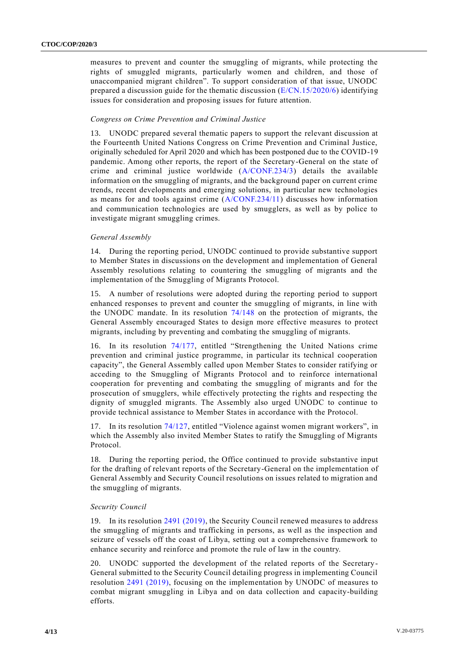measures to prevent and counter the smuggling of migrants, while protecting the rights of smuggled migrants, particularly women and children, and those of unaccompanied migrant children". To support consideration of that issue, UNODC prepared a discussion guide for the thematic discussion [\(E/CN.15/2020/6\)](http://undocs.org/E/CN.15/2020/6) identifying issues for consideration and proposing issues for future attention.

#### *Congress on Crime Prevention and Criminal Justice*

13. UNODC prepared several thematic papers to support the relevant discussion at the Fourteenth United Nations Congress on Crime Prevention and Criminal Justice, originally scheduled for April 2020 and which has been postponed due to the COVID-19 pandemic. Among other reports, the report of the Secretary-General on the state of crime and criminal justice worldwide [\(A/CONF.234/3\)](http://undocs.org/A/CONF.234/3) details the available information on the smuggling of migrants, and the background paper on current crime trends, recent developments and emerging solutions, in particular new technologies as means for and tools against crime [\(A/CONF.234/11\)](http://undocs.org/A/CONF.234/11) discusses how information and communication technologies are used by smugglers, as well as by police to investigate migrant smuggling crimes.

#### *General Assembly*

14. During the reporting period, UNODC continued to provide substantive support to Member States in discussions on the development and implementation of General Assembly resolutions relating to countering the smuggling of migrants and the implementation of the Smuggling of Migrants Protocol.

15. A number of resolutions were adopted during the reporting period to support enhanced responses to prevent and counter the smuggling of migrants, in line with the UNODC mandate. In its resolution [74/148](http://undocs.org/A/RES/74/148) on the protection of migrants, the General Assembly encouraged States to design more effective measures to protect migrants, including by preventing and combating the smuggling of migrants.

16. In its resolution [74/177,](http://undocs.org/A/RES/74/177) entitled "Strengthening the United Nations crime prevention and criminal justice programme, in particular its technical cooperation capacity", the General Assembly called upon Member States to consider ratifying or acceding to the Smuggling of Migrants Protocol and to reinforce international cooperation for preventing and combating the smuggling of migrants and for the prosecution of smugglers, while effectively protecting the rights and respecting the dignity of smuggled migrants. The Assembly also urged UNODC to continue to provide technical assistance to Member States in accordance with the Protocol.

17. In its resolution [74/127,](http://undocs.org/A/RES/74/127) entitled "Violence against women migrant workers", in which the Assembly also invited Member States to ratify the Smuggling of Migrants Protocol.

18. During the reporting period, the Office continued to provide substantive input for the drafting of relevant reports of the Secretary-General on the implementation of General Assembly and Security Council resolutions on issues related to migration and the smuggling of migrants.

#### *Security Council*

19. In its resolution 2491 [\(2019\),](https://undocs.org/S/RES/2491(2019)) the Security Council renewed measures to address the smuggling of migrants and trafficking in persons, as well as the inspection and seizure of vessels off the coast of Libya, setting out a comprehensive framework to enhance security and reinforce and promote the rule of law in the country.

20. UNODC supported the development of the related reports of the Secretary-General submitted to the Security Council detailing progress in implementing Council resolution [2491 \(2019\),](https://undocs.org/S/RES/2491(2019)) focusing on the implementation by UNODC of measures to combat migrant smuggling in Libya and on data collection and capacity-building efforts.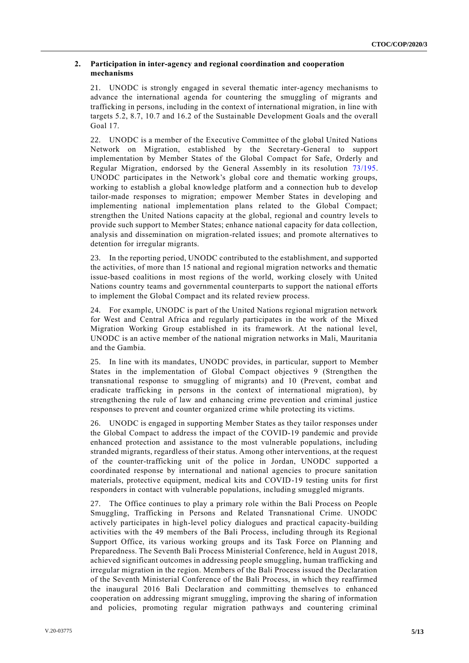#### **2. Participation in inter-agency and regional coordination and cooperation mechanisms**

21. UNODC is strongly engaged in several thematic inter-agency mechanisms to advance the international agenda for countering the smuggling of migrants and trafficking in persons, including in the context of international migration, in line with targets 5.2, 8.7, 10.7 and 16.2 of the Sustainable Development Goals and the overall Goal 17.

22. UNODC is a member of the Executive Committee of the global United Nations Network on Migration, established by the Secretary-General to support implementation by Member States of the Global Compact for Safe, Orderly and Regular Migration, endorsed by the General Assembly in its resolution [73/195.](http://undocs.org/A/RES/73/195) UNODC participates in the Network's global core and thematic working groups, working to establish a global knowledge platform and a connection hub to develop tailor-made responses to migration; empower Member States in developing and implementing national implementation plans related to the Global Compact; strengthen the United Nations capacity at the global, regional and country levels to provide such support to Member States; enhance national capacity for data collection, analysis and dissemination on migration-related issues; and promote alternatives to detention for irregular migrants.

23. In the reporting period, UNODC contributed to the establishment, and supported the activities, of more than 15 national and regional migration networks and thematic issue-based coalitions in most regions of the world, working closely with United Nations country teams and governmental counterparts to support the national efforts to implement the Global Compact and its related review process.

24. For example, UNODC is part of the United Nations regional migration network for West and Central Africa and regularly participates in the work of the Mixed Migration Working Group established in its framework. At the national level, UNODC is an active member of the national migration networks in Mali, Mauritania and the Gambia.

25. In line with its mandates, UNODC provides, in particular, support to Member States in the implementation of Global Compact objectives 9 (Strengthen the transnational response to smuggling of migrants) and 10 (Prevent, combat and eradicate trafficking in persons in the context of international migration), by strengthening the rule of law and enhancing crime prevention and criminal justice responses to prevent and counter organized crime while protecting its victims.

26. UNODC is engaged in supporting Member States as they tailor responses under the Global Compact to address the impact of the COVID-19 pandemic and provide enhanced protection and assistance to the most vulnerable populations, including stranded migrants, regardless of their status. Among other interventions, at the request of the counter-trafficking unit of the police in Jordan, UNODC supported a coordinated response by international and national agencies to procure sanitation materials, protective equipment, medical kits and COVID-19 testing units for first responders in contact with vulnerable populations, including smuggled migrants.

27. The Office continues to play a primary role within the Bali Process on People Smuggling, Trafficking in Persons and Related Transnational Crime. UNODC actively participates in high-level policy dialogues and practical capacity-building activities with the 49 members of the Bali Process, including through its Regional Support Office, its various working groups and its Task Force on Planning and Preparedness. The Seventh Bali Process Ministerial Conference, held in August 2018, achieved significant outcomes in addressing people smuggling, human trafficking and irregular migration in the region. Members of the Bali Process issued the Declaration of the Seventh Ministerial Conference of the Bali Process, in which they reaffirmed the inaugural 2016 Bali Declaration and committing themselves to enhanced cooperation on addressing migrant smuggling, improving the sharing of information and policies, promoting regular migration pathways and countering criminal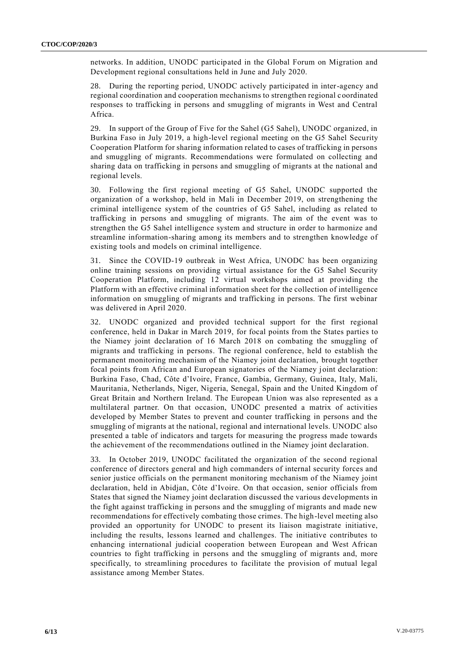networks. In addition, UNODC participated in the Global Forum on Migration and Development regional consultations held in June and July 2020.

28. During the reporting period, UNODC actively participated in inter-agency and regional coordination and cooperation mechanisms to strengthen regional coordinated responses to trafficking in persons and smuggling of migrants in West and Central Africa.

29. In support of the Group of Five for the Sahel (G5 Sahel), UNODC organized, in Burkina Faso in July 2019, a high-level regional meeting on the G5 Sahel Security Cooperation Platform for sharing information related to cases of trafficking in persons and smuggling of migrants. Recommendations were formulated on collecting and sharing data on trafficking in persons and smuggling of migrants at the national and regional levels.

30. Following the first regional meeting of G5 Sahel, UNODC supported the organization of a workshop, held in Mali in December 2019, on strengthening the criminal intelligence system of the countries of G5 Sahel, including as related to trafficking in persons and smuggling of migrants. The aim of the event was to strengthen the G5 Sahel intelligence system and structure in order to harmonize and streamline information-sharing among its members and to strengthen knowledge of existing tools and models on criminal intelligence.

31. Since the COVID-19 outbreak in West Africa, UNODC has been organizing online training sessions on providing virtual assistance for the G5 Sahel Security Cooperation Platform, including 12 virtual workshops aimed at providing the Platform with an effective criminal information sheet for the collection of intelligence information on smuggling of migrants and trafficking in persons. The first webinar was delivered in April 2020.

32. UNODC organized and provided technical support for the first regional conference, held in Dakar in March 2019, for focal points from the States parties to the Niamey joint declaration of 16 March 2018 on combating the smuggling of migrants and trafficking in persons. The regional conference, held to establish the permanent monitoring mechanism of the Niamey joint declaration, brought together focal points from African and European signatories of the Niamey joint declaration: Burkina Faso, Chad, Côte d'Ivoire, France, Gambia, Germany, Guinea, Italy, Mali, Mauritania, Netherlands, Niger, Nigeria, Senegal, Spain and the United Kingdom of Great Britain and Northern Ireland. The European Union was also represented as a multilateral partner. On that occasion, UNODC presented a matrix of activities developed by Member States to prevent and counter trafficking in persons and the smuggling of migrants at the national, regional and international levels. UNODC also presented a table of indicators and targets for measuring the progress made towards the achievement of the recommendations outlined in the Niamey joint declaration.

In October 2019, UNODC facilitated the organization of the second regional conference of directors general and high commanders of internal security forces and senior justice officials on the permanent monitoring mechanism of the Niamey joint declaration, held in Abidjan, Côte d'Ivoire. On that occasion, senior officials from States that signed the Niamey joint declaration discussed the various developments in the fight against trafficking in persons and the smuggling of migrants and made new recommendations for effectively combating those crimes. The high-level meeting also provided an opportunity for UNODC to present its liaison magistrate initiative, including the results, lessons learned and challenges. The initiative contributes to enhancing international judicial cooperation between European and West African countries to fight trafficking in persons and the smuggling of migrants and, more specifically, to streamlining procedures to facilitate the provision of mutual legal assistance among Member States.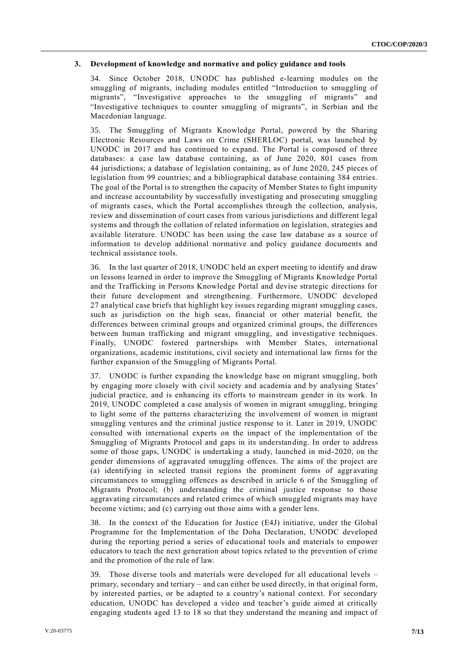#### **3. Development of knowledge and normative and policy guidance and tools**

34. Since October 2018, UNODC has published e-learning modules on the smuggling of migrants, including modules entitled "Introduction to smuggling of migrants", "Investigative approaches to the smuggling of migrants" and "Investigative techniques to counter smuggling of migrants", in Serbian and the Macedonian language.

35. The Smuggling of Migrants Knowledge Portal, powered by the Sharing Electronic Resources and Laws on Crime (SHERLOC) portal, was launched by UNODC in 2017 and has continued to expand. The Portal is composed of three databases: a case law database containing, as of June 2020, 801 cases from 44 jurisdictions; a database of legislation containing, as of June 2020, 245 pieces of legislation from 99 countries; and a bibliographical database containing 384 entries. The goal of the Portal is to strengthen the capacity of Member States to fight impunity and increase accountability by successfully investigating and prosecuting smuggling of migrants cases, which the Portal accomplishes through the collection, analysis, review and dissemination of court cases from various jurisdictions and different legal systems and through the collation of related information on legislation, strategies and available literature. UNODC has been using the case law database as a source of information to develop additional normative and policy guidance documents and technical assistance tools.

36. In the last quarter of 2018, UNODC held an expert meeting to identify and draw on lessons learned in order to improve the Smuggling of Migrants Knowledge Portal and the Trafficking in Persons Knowledge Portal and devise strategic directions for their future development and strengthening. Furthermore, UNODC developed 27 analytical case briefs that highlight key issues regarding migrant smuggling cases, such as jurisdiction on the high seas, financial or other material benefit, the differences between criminal groups and organized criminal groups, the differences between human trafficking and migrant smuggling, and investigative techniques. Finally, UNODC fostered partnerships with Member States, international organizations, academic institutions, civil society and international law firms for the further expansion of the Smuggling of Migrants Portal.

37. UNODC is further expanding the knowledge base on migrant smuggling, both by engaging more closely with civil society and academia and by analysing States' judicial practice, and is enhancing its efforts to mainstream gender in its work. In 2019, UNODC completed a case analysis of women in migrant smuggling, bringing to light some of the patterns characterizing the involvement of women in migrant smuggling ventures and the criminal justice response to it. Later in 2019, UNODC consulted with international experts on the impact of the implementation of the Smuggling of Migrants Protocol and gaps in its understanding. In order to address some of those gaps, UNODC is undertaking a study, launched in mid-2020, on the gender dimensions of aggravated smuggling offences. The aims of the project are (a) identifying in selected transit regions the prominent forms of aggravating circumstances to smuggling offences as described in article 6 of the Smuggling of Migrants Protocol; (b) understanding the criminal justice response to those aggravating circumstances and related crimes of which smuggled migrants may have become victims; and (c) carrying out those aims with a gender lens.

38. In the context of the Education for Justice (E4J) initiative, under the Global Programme for the Implementation of the Doha Declaration, UNODC developed during the reporting period a series of educational tools and materials to empower educators to teach the next generation about topics related to the prevention of crime and the promotion of the rule of law.

39. Those diverse tools and materials were developed for all educational levels – primary, secondary and tertiary – and can either be used directly, in that original form, by interested parties, or be adapted to a country's national context. For secondary education, UNODC has developed a video and teacher's guide aimed at critically engaging students aged 13 to 18 so that they understand the meaning and impact of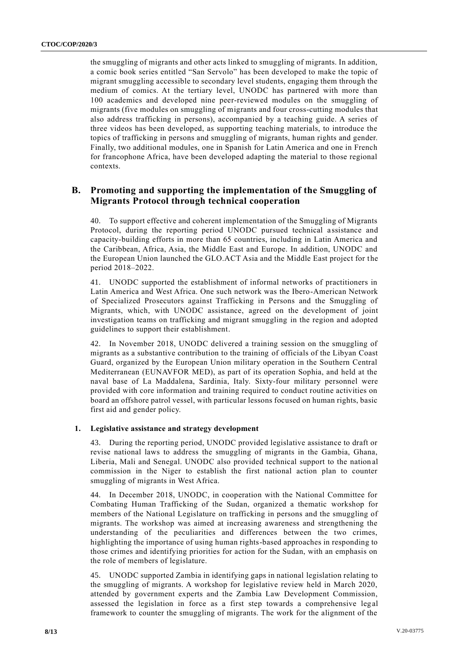the smuggling of migrants and other acts linked to smuggling of migrants. In addition, a comic book series entitled "San Servolo" has been developed to make the topic of migrant smuggling accessible to secondary level students, engaging them through the medium of comics. At the tertiary level, UNODC has partnered with more than 100 academics and developed nine peer-reviewed modules on the smuggling of migrants (five modules on smuggling of migrants and four cross-cutting modules that also address trafficking in persons), accompanied by a teaching guide. A series of three videos has been developed, as supporting teaching materials, to introduce the topics of trafficking in persons and smuggling of migrants, human rights and gender. Finally, two additional modules, one in Spanish for Latin America and one in French for francophone Africa, have been developed adapting the material to those regional contexts.

## **B. Promoting and supporting the implementation of the Smuggling of Migrants Protocol through technical cooperation**

40. To support effective and coherent implementation of the Smuggling of Migrants Protocol, during the reporting period UNODC pursued technical a ssistance and capacity-building efforts in more than 65 countries, including in Latin America and the Caribbean, Africa, Asia, the Middle East and Europe. In addition, UNODC and the European Union launched the GLO.ACT Asia and the Middle East project for the period 2018–2022.

41. UNODC supported the establishment of informal networks of practitioners in Latin America and West Africa. One such network was the Ibero-American Network of Specialized Prosecutors against Trafficking in Persons and the Smuggling of Migrants, which, with UNODC assistance, agreed on the development of joint investigation teams on trafficking and migrant smuggling in the region and adopted guidelines to support their establishment.

42. In November 2018, UNODC delivered a training session on the smuggling of migrants as a substantive contribution to the training of officials of the Libyan Coast Guard, organized by the European Union military operation in the Southern Central Mediterranean (EUNAVFOR MED), as part of its operation Sophia, and held at the naval base of La Maddalena, Sardinia, Italy. Sixty-four military personnel were provided with core information and training required to conduct routine activities on board an offshore patrol vessel, with particular lessons focused on human rights, basic first aid and gender policy.

#### **1. Legislative assistance and strategy development**

43. During the reporting period, UNODC provided legislative assistance to draft or revise national laws to address the smuggling of migrants in the Gambia, Ghana, Liberia, Mali and Senegal. UNODC also provided technical support to the nation al commission in the Niger to establish the first national action plan to counter smuggling of migrants in West Africa.

44. In December 2018, UNODC, in cooperation with the National Committee for Combating Human Trafficking of the Sudan, organized a thematic workshop for members of the National Legislature on trafficking in persons and the smuggling of migrants. The workshop was aimed at increasing awareness and strengthening the understanding of the peculiarities and differences between the two crimes, highlighting the importance of using human rights-based approaches in responding to those crimes and identifying priorities for action for the Sudan, with an emphasis on the role of members of legislature.

45. UNODC supported Zambia in identifying gaps in national legislation relating to the smuggling of migrants. A workshop for legislative review held in March 2020, attended by government experts and the Zambia Law Development Commission, assessed the legislation in force as a first step towards a comprehensive legal framework to counter the smuggling of migrants. The work for the alignment of the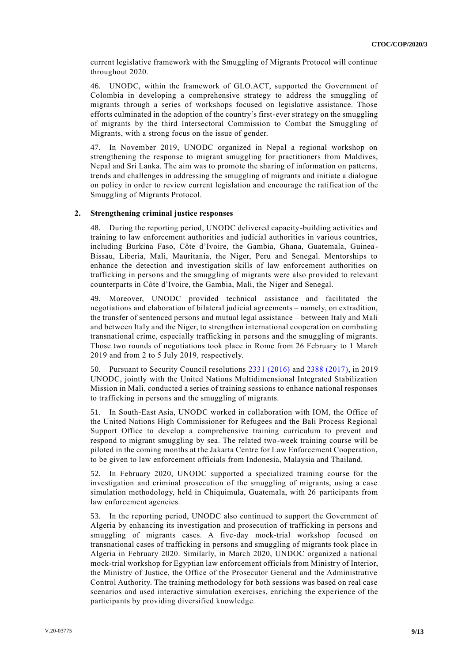current legislative framework with the Smuggling of Migrants Protocol will continue throughout 2020.

46. UNODC, within the framework of GLO.ACT, supported the Government of Colombia in developing a comprehensive strategy to address the smuggling of migrants through a series of workshops focused on legislative assistance. Those efforts culminated in the adoption of the country's first-ever strategy on the smuggling of migrants by the third Intersectoral Commission to Combat the Smuggling of Migrants, with a strong focus on the issue of gender.

47. In November 2019, UNODC organized in Nepal a regional workshop on strengthening the response to migrant smuggling for practitioners from Maldives, Nepal and Sri Lanka. The aim was to promote the sharing of information on patterns, trends and challenges in addressing the smuggling of migrants and initiate a dialogue on policy in order to review current legislation and encourage the ratification of the Smuggling of Migrants Protocol.

#### **2. Strengthening criminal justice responses**

48. During the reporting period, UNODC delivered capacity-building activities and training to law enforcement authorities and judicial authorities in various countries, including Burkina Faso, Côte d'Ivoire, the Gambia, Ghana, Guatemala, Guinea - Bissau, Liberia, Mali, Mauritania, the Niger, Peru and Senegal. Mentorships to enhance the detection and investigation skills of law enforcement authorities on trafficking in persons and the smuggling of migrants were also provided to relevant counterparts in Côte d'Ivoire, the Gambia, Mali, the Niger and Senegal.

49. Moreover, UNODC provided technical assistance and facilitated the negotiations and elaboration of bilateral judicial agreements – namely, on extradition, the transfer of sentenced persons and mutual legal assistance – between Italy and Mali and between Italy and the Niger, to strengthen international cooperation on combating transnational crime, especially trafficking in persons and the smuggling of migrants. Those two rounds of negotiations took place in Rome from 26 February to 1 March 2019 and from 2 to 5 July 2019, respectively.

50. Pursuant to Security Council resolutions 2331 [\(2016\)](https://undocs.org/S/RES/2331(2016)) and 2388 [\(2017\),](https://undocs.org/S/RES/2388(2017)) in 2019 UNODC, jointly with the United Nations Multidimensional Integrated Stabilization Mission in Mali, conducted a series of training sessions to enhance national responses to trafficking in persons and the smuggling of migrants.

51. In South-East Asia, UNODC worked in collaboration with IOM, the Office of the United Nations High Commissioner for Refugees and the Bali Process Regional Support Office to develop a comprehensive training curriculum to prevent and respond to migrant smuggling by sea. The related two-week training course will be piloted in the coming months at the Jakarta Centre for Law Enforcement Cooperation, to be given to law enforcement officials from Indonesia, Malaysia and Thailand.

52. In February 2020, UNODC supported a specialized training course for the investigation and criminal prosecution of the smuggling of migrants, using a case simulation methodology, held in Chiquimula, Guatemala, with 26 participants from law enforcement agencies.

53. In the reporting period, UNODC also continued to support the Government of Algeria by enhancing its investigation and prosecution of trafficking in persons and smuggling of migrants cases. A five-day mock-trial workshop focused on transnational cases of trafficking in persons and smuggling of migrants took place in Algeria in February 2020. Similarly, in March 2020, UNDOC organized a national mock-trial workshop for Egyptian law enforcement officials from Ministry of Interior, the Ministry of Justice, the Office of the Prosecutor General and the Administrative Control Authority. The training methodology for both sessions was based on real case scenarios and used interactive simulation exercises, enriching the experience of the participants by providing diversified knowledge.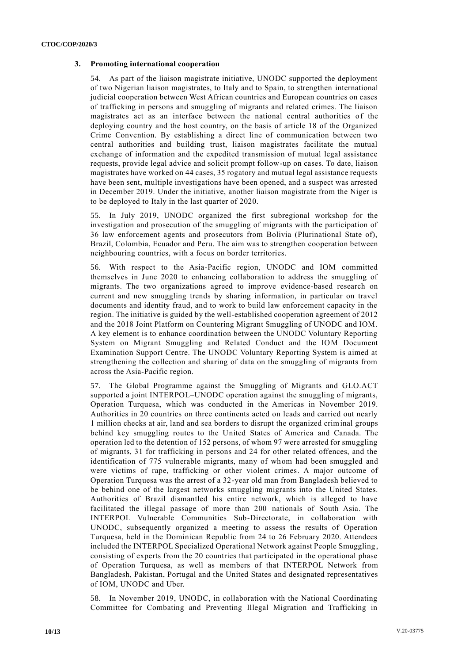#### **3. Promoting international cooperation**

54. As part of the liaison magistrate initiative, UNODC supported the deployment of two Nigerian liaison magistrates, to Italy and to Spain, to strengthen international judicial cooperation between West African countries and European countries on cases of trafficking in persons and smuggling of migrants and related crimes. The liaison magistrates act as an interface between the national central authorities of the deploying country and the host country, on the basis of article 18 of the Organized Crime Convention. By establishing a direct line of communication between two central authorities and building trust, liaison magistrates facilitate the mutual exchange of information and the expedited transmission of mutual legal assistance requests, provide legal advice and solicit prompt follow-up on cases. To date, liaison magistrates have worked on 44 cases, 35 rogatory and mutual legal assistance requests have been sent, multiple investigations have been opened, and a suspect was arrested in December 2019. Under the initiative, another liaison magistrate from the Niger is to be deployed to Italy in the last quarter of 2020.

55. In July 2019, UNODC organized the first subregional workshop for the investigation and prosecution of the smuggling of migrants with the participation of 36 law enforcement agents and prosecutors from Bolivia (Plurinational State of), Brazil, Colombia, Ecuador and Peru. The aim was to strengthen cooperation between neighbouring countries, with a focus on border territories.

56. With respect to the Asia-Pacific region, UNODC and IOM committed themselves in June 2020 to enhancing collaboration to address the smuggling of migrants. The two organizations agreed to improve evidence-based research on current and new smuggling trends by sharing information, in particular on travel documents and identity fraud, and to work to build law enforcement capacity in the region. The initiative is guided by the well-established cooperation agreement of 2012 and the 2018 Joint Platform on Countering Migrant Smuggling of UNODC and IOM. A key element is to enhance coordination between the UNODC Voluntary Reporting System on Migrant Smuggling and Related Conduct and the IOM Document Examination Support Centre. The UNODC Voluntary Reporting System is aimed at strengthening the collection and sharing of data on the smuggling of migrants from across the Asia-Pacific region.

57. The Global Programme against the Smuggling of Migrants and GLO.ACT supported a joint INTERPOL–UNODC operation against the smuggling of migrants, Operation Turquesa, which was conducted in the Americas in November 2019. Authorities in 20 countries on three continents acted on leads and carried out nearly 1 million checks at air, land and sea borders to disrupt the organized criminal groups behind key smuggling routes to the United States of America and Canada. The operation led to the detention of 152 persons, of whom 97 were arrested for smuggling of migrants, 31 for trafficking in persons and 24 for other related offences, and the identification of 775 vulnerable migrants, many of whom had been smuggled and were victims of rape, trafficking or other violent crimes. A major outcome of Operation Turquesa was the arrest of a 32-year old man from Bangladesh believed to be behind one of the largest networks smuggling migrants into the United States. Authorities of Brazil dismantled his entire network, which is alleged to have facilitated the illegal passage of more than 200 nationals of South Asia. The INTERPOL Vulnerable Communities Sub-Directorate, in collaboration with UNODC, subsequently organized a meeting to assess the results of Operation Turquesa, held in the Dominican Republic from 24 to 26 February 2020. Attendees included the INTERPOL Specialized Operational Network against People Smuggling, consisting of experts from the 20 countries that participated in the operational phase of Operation Turquesa, as well as members of that INTERPOL Network from Bangladesh, Pakistan, Portugal and the United States and designated representatives of IOM, UNODC and Uber.

58. In November 2019, UNODC, in collaboration with the National Coordinating Committee for Combating and Preventing Illegal Migration and Trafficking in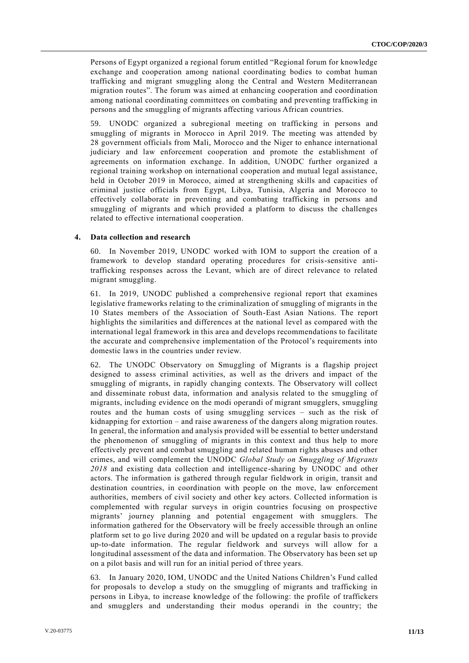Persons of Egypt organized a regional forum entitled "Regional forum for knowledge exchange and cooperation among national coordinating bodies to combat human trafficking and migrant smuggling along the Central and Western Mediterranean migration routes". The forum was aimed at enhancing cooperation and coordination among national coordinating committees on combating and preventing trafficking in persons and the smuggling of migrants affecting various African countries.

59. UNODC organized a subregional meeting on trafficking in persons and smuggling of migrants in Morocco in April 2019. The meeting was attended by 28 government officials from Mali, Morocco and the Niger to enhance international judiciary and law enforcement cooperation and promote the establishment of agreements on information exchange. In addition, UNODC further organized a regional training workshop on international cooperation and mutual legal assistance, held in October 2019 in Morocco, aimed at strengthening skills and capacities of criminal justice officials from Egypt, Libya, Tunisia, Algeria and Morocco to effectively collaborate in preventing and combating trafficking in persons and smuggling of migrants and which provided a platform to discuss the challenges related to effective international cooperation.

#### **4. Data collection and research**

60. In November 2019, UNODC worked with IOM to support the creation of a framework to develop standard operating procedures for crisis-sensitive antitrafficking responses across the Levant, which are of direct relevance to related migrant smuggling.

61. In 2019, UNODC published a comprehensive regional report that examines legislative frameworks relating to the criminalization of smuggling of migrants in the 10 States members of the Association of South-East Asian Nations. The report highlights the similarities and differences at the national level as compared with the international legal framework in this area and develops recommendations to facilitate the accurate and comprehensive implementation of the Protocol's requirements into domestic laws in the countries under review.

62. The UNODC Observatory on Smuggling of Migrants is a flagship project designed to assess criminal activities, as well as the drivers and impact of the smuggling of migrants, in rapidly changing contexts. The Observatory will collect and disseminate robust data, information and analysis related to the smuggling of migrants, including evidence on the modi operandi of migrant smugglers, smuggling routes and the human costs of using smuggling services – such as the risk of kidnapping for extortion – and raise awareness of the dangers along migration routes. In general, the information and analysis provided will be essential to better understand the phenomenon of smuggling of migrants in this context and thus help to more effectively prevent and combat smuggling and related human rights abuses and other crimes, and will complement the UNODC *Global Study on Smuggling of Migrants 2018* and existing data collection and intelligence-sharing by UNODC and other actors. The information is gathered through regular fieldwork in origin, transit and destination countries, in coordination with people on the move, law enforcement authorities, members of civil society and other key actors. Collected information is complemented with regular surveys in origin countries focusing on prospective migrants' journey planning and potential engagement with smugglers. The information gathered for the Observatory will be freely accessible through an online platform set to go live during 2020 and will be updated on a regular basis to provide up-to-date information. The regular fieldwork and surveys will allow for a longitudinal assessment of the data and information. The Observatory has been set up on a pilot basis and will run for an initial period of three years.

63. In January 2020, IOM, UNODC and the United Nations Children's Fund called for proposals to develop a study on the smuggling of migrants and trafficking in persons in Libya, to increase knowledge of the following: the profile of traffickers and smugglers and understanding their modus operandi in the country; the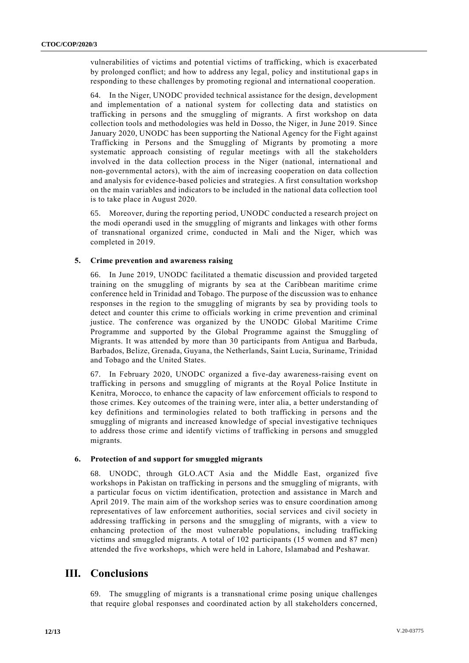vulnerabilities of victims and potential victims of trafficking, which is exacerbated by prolonged conflict; and how to address any legal, policy and institutional gap s in responding to these challenges by promoting regional and international cooperation.

64. In the Niger, UNODC provided technical assistance for the design, development and implementation of a national system for collecting data and statistics on trafficking in persons and the smuggling of migrants. A first workshop on data collection tools and methodologies was held in Dosso, the Niger, in June 2019. Since January 2020, UNODC has been supporting the National Agency for the Fight against Trafficking in Persons and the Smuggling of Migrants by promoting a more systematic approach consisting of regular meetings with all the stakeholders involved in the data collection process in the Niger (national, international and non-governmental actors), with the aim of increasing cooperation on data collection and analysis for evidence-based policies and strategies. A first consultation workshop on the main variables and indicators to be included in the national data collection tool is to take place in August 2020.

65. Moreover, during the reporting period, UNODC conducted a research project on the modi operandi used in the smuggling of migrants and linkages with other forms of transnational organized crime, conducted in Mali and the Niger, which was completed in 2019.

#### **5. Crime prevention and awareness raising**

66. In June 2019, UNODC facilitated a thematic discussion and provided targeted training on the smuggling of migrants by sea at the Caribbean maritime crime conference held in Trinidad and Tobago. The purpose of the discussion was to enhance responses in the region to the smuggling of migrants by sea by providing tools to detect and counter this crime to officials working in crime prevention and criminal justice. The conference was organized by the UNODC Global Maritime Crime Programme and supported by the Global Programme against the Smuggling of Migrants. It was attended by more than 30 participants from Antigua and Barbuda, Barbados, Belize, Grenada, Guyana, the Netherlands, Saint Lucia, Suriname, Trinidad and Tobago and the United States.

67. In February 2020, UNODC organized a five-day awareness-raising event on trafficking in persons and smuggling of migrants at the Royal Police Institute in Kenitra, Morocco, to enhance the capacity of law enforcement officials to respond to those crimes. Key outcomes of the training were, inter alia, a better understanding of key definitions and terminologies related to both trafficking in persons and the smuggling of migrants and increased knowledge of special investigative techniques to address those crime and identify victims of trafficking in persons and smuggled migrants.

#### **6. Protection of and support for smuggled migrants**

68. UNODC, through GLO.ACT Asia and the Middle East, organized five workshops in Pakistan on trafficking in persons and the smuggling of migrants, with a particular focus on victim identification, protection and assistance in March and April 2019. The main aim of the workshop series was to ensure coordination among representatives of law enforcement authorities, social services and civil society in addressing trafficking in persons and the smuggling of migrants, with a view to enhancing protection of the most vulnerable populations, including trafficking victims and smuggled migrants. A total of 102 participants (15 women and 87 men) attended the five workshops, which were held in Lahore, Islamabad and Peshawar.

## **III. Conclusions**

69. The smuggling of migrants is a transnational crime posing unique challenges that require global responses and coordinated action by all stakeholders concerned,